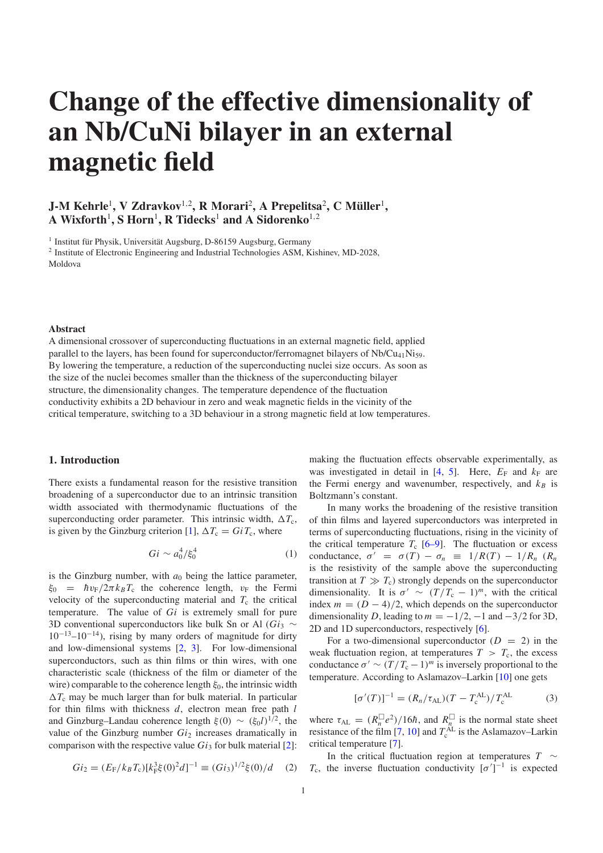# **Change of the effective dimensionality of an Nb/CuNi bilayer in an external magnetic field**

**J-M Kehrle** 1 **, V Zdravkov** 1,2 **, R Morari** 2 **, A Prepelitsa** 2 **, C Mu¨ller** 1 **, A Wixforth** 1 **, S Horn** 1 **, R Tidecks** <sup>1</sup> **and A Sidorenko** 1,2

<sup>1</sup> Institut für Physik, Universität Augsburg, D-86159 Augsburg, Germany <sup>2</sup> Institute of Electronic Engineering and Industrial Technologies ASM, Kishinev, MD-2028, Moldova

#### **Abstract**

A dimensional crossover of superconducting fluctuations in an external magnetic field, applied parallel to the layers, has been found for superconductor/ferromagnet bilayers of  $Nb/Cu_{41}Ni_{59}$ . By lowering the temperature, a reduction of the superconducting nuclei size occurs. As soon as the size of the nuclei becomes smaller than the thickness of the superconducting bilayer structure, the dimensionality changes. The temperature dependence of the fluctuation conductivity exhibits a 2D behaviour in zero and weak magnetic fields in the vicinity of the critical temperature, switching to a 3D behaviour in a strong magnetic field at low temperatures.

### **1. Introduction**

There exists a fundamental reason for the resistive transition broadening of a superconductor due to an intrinsic transition width associated with thermodynamic fluctuations of the superconducting order parameter. This intrinsic width,  $\Delta T_c$ , is given by the Ginzburg criterion [\[1\]](#page-2-0),  $\Delta T_c = GiT_c$ , where

$$
Gi \sim a_0^4/\xi_0^4 \tag{1}
$$

is the Ginzburg number, with  $a_0$  being the lattice parameter,  $\xi_0 = \hbar v_F/2\pi k_B T_c$  the coherence length,  $v_F$  the Fermi velocity of the superconducting material and  $T_c$  the critical temperature. The value of *Gi* is extremely small for pure 3D conventional superconductors like bulk Sn or Al ( $Gi<sub>3</sub>$  ∼  $10^{-13}$ – $10^{-14}$ ), rising by many orders of magnitude for dirty and low-dimensional systems [\[2,](#page-2-1) [3\]](#page-2-2). For low-dimensional superconductors, such as thin films or thin wires, with one characteristic scale (thickness of the film or diameter of the wire) comparable to the coherence length  $\xi_0$ , the intrinsic width  $\Delta T_c$  may be much larger than for bulk material. In particular for thin films with thickness *d*, electron mean free path *l* and Ginzburg–Landau coherence length  $\xi(0) \sim (\xi_0 l)^{1/2}$ , the value of the Ginzburg number *Gi*<sup>2</sup> increases dramatically in comparison with the respective value  $Gi<sub>3</sub>$  for bulk material [\[2\]](#page-2-1):

<span id="page-0-0"></span>
$$
Gi_2 = (E_{\rm F}/k_B T_{\rm c}) [k_{\rm F}^3 \xi(0)^2 d]^{-1} \equiv (Gi_3)^{1/2} \xi(0)/d \quad (2)
$$

making the fluctuation effects observable experimentally, as was investigated in detail in [\[4,](#page-2-3) [5\]](#page-3-0). Here,  $E_F$  and  $k_F$  are the Fermi energy and wavenumber, respectively, and  $k_B$  is Boltzmann's constant.

In many works the broadening of the resistive transition of thin films and layered superconductors was interpreted in terms of superconducting fluctuations, rising in the vicinity of the critical temperature  $T_c$  [\[6–9\]](#page-3-1). The fluctuation or excess conductance,  $\sigma' = \sigma(T) - \sigma_n \equiv 1/R(T) - 1/R_n$  ( $R_n$ is the resistivity of the sample above the superconducting transition at  $T \gg T_c$ ) strongly depends on the superconductor dimensionality. It is  $\sigma' \sim (T/T_c - 1)^m$ , with the critical index  $m = (D - 4)/2$ , which depends on the superconductor dimensionality *D*, leading to  $m = -1/2$ ,  $-1$  and  $-3/2$  for 3D, 2D and 1D superconductors, respectively [\[6\]](#page-3-1).

For a two-dimensional superconductor  $(D = 2)$  in the weak fluctuation region, at temperatures  $T > T_c$ , the excess conductance  $\sigma' \sim (T/T_c - 1)^m$  is inversely proportional to the temperature. According to Aslamazov–Larkin [\[10\]](#page-3-2) one gets

$$
[\sigma'(T)]^{-1} = (R_n/\tau_{AL})(T - T_c^{AL})/T_c^{AL}
$$
 (3)

where  $\tau_{AL} = (R_n^{\square}e^2)/16\hbar$ , and  $R_n^{\square}$  is the normal state sheet resistance of the film  $[7, 10]$  $[7, 10]$  $[7, 10]$  and  $T_c^{\text{AL}}$  is the Aslamazov–Larkin critical temperature [\[7\]](#page-3-3).

In the critical fluctuation region at temperatures *T* ∼  $T_c$ , the inverse fluctuation conductivity  $[\sigma']^{-1}$  is expected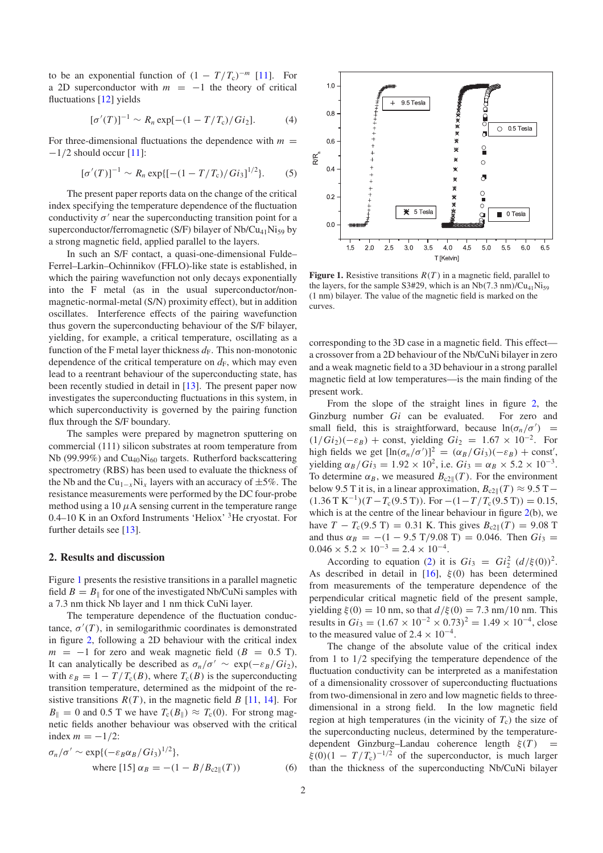to be an exponential function of  $(1 - T/T_c)^{-m}$  [\[11\]](#page-3-4). For a 2D superconductor with  $m = -1$  the theory of critical fluctuations [\[12\]](#page-3-5) yields

$$
[\sigma'(T)]^{-1} \sim R_n \exp[-(1 - T/T_c)/Gi_2]. \tag{4}
$$

For three-dimensional fluctuations the dependence with  $m =$ −1/2 should occur [\[11\]](#page-3-4):

$$
[\sigma'(T)]^{-1} \sim R_n \exp\{[-(1 - T/T_c)/Gi_3]^{1/2}\}.
$$
 (5)

The present paper reports data on the change of the critical index specifying the temperature dependence of the fluctuation conductivity  $\sigma'$  near the superconducting transition point for a superconductor/ferromagnetic (S/F) bilayer of  $Nb/Cu_{41}Ni_{59}$  by a strong magnetic field, applied parallel to the layers.

In such an S/F contact, a quasi-one-dimensional Fulde– Ferrel–Larkin–Ochinnikov (FFLO)-like state is established, in which the pairing wavefunction not only decays exponentially into the F metal (as in the usual superconductor/nonmagnetic-normal-metal (S/N) proximity effect), but in addition oscillates. Interference effects of the pairing wavefunction thus govern the superconducting behaviour of the S/F bilayer, yielding, for example, a critical temperature, oscillating as a function of the F metal layer thickness  $d_F$ . This non-monotonic dependence of the critical temperature on  $d_F$ , which may even lead to a reentrant behaviour of the superconducting state, has been recently studied in detail in [\[13\]](#page-3-6). The present paper now investigates the superconducting fluctuations in this system, in which superconductivity is governed by the pairing function flux through the S/F boundary.

The samples were prepared by magnetron sputtering on commercial (111) silicon substrates at room temperature from Nb (99.99%) and Cu<sub>40</sub>Ni<sub>60</sub> targets. Rutherford backscattering spectrometry (RBS) has been used to evaluate the thickness of the Nb and the Cu<sub>1−*x*</sub>Ni<sub>*x*</sub> layers with an accuracy of  $\pm$ 5%. The resistance measurements were performed by the DC four-probe method using a 10  $\mu$ A sensing current in the temperature range 0.4–10 K in an Oxford Instruments 'Heliox' <sup>3</sup>He cryostat. For further details see [\[13\]](#page-3-6).

#### **2. Results and discussion**

Figure [1](#page-1-0) presents the resistive transitions in a parallel magnetic field  $B = B_{\parallel}$  for one of the investigated Nb/CuNi samples with a 7.3 nm thick Nb layer and 1 nm thick CuNi layer.

The temperature dependence of the fluctuation conductance,  $\sigma'(T)$ , in semilogarithmic coordinates is demonstrated in figure [2,](#page-2-4) following a 2D behaviour with the critical index  $m = -1$  for zero and weak magnetic field ( $B = 0.5$  T). It can analytically be described as  $\sigma_n/\sigma' \sim \exp(-\varepsilon_B/G_i^2)$ , with  $\varepsilon_B = 1 - T/T_c(B)$ , where  $T_c(B)$  is the superconducting transition temperature, determined as the midpoint of the resistive transitions  $R(T)$ , in the magnetic field *B* [\[11,](#page-3-4) [14\]](#page-3-7). For  $B_{\parallel} = 0$  and 0.5 T we have  $T_c(B_{\parallel}) \approx T_c(0)$ . For strong magnetic fields another behaviour was observed with the critical index  $m = -1/2$ :

$$
\sigma_n/\sigma' \sim \exp\{(-\varepsilon_B \alpha_B/G i_3)^{1/2}\},\
$$
  
where [15]  $\alpha_B = -(1 - B/B_{c2\parallel}(T))$  (6)

<span id="page-1-0"></span>

**Figure 1.** Resistive transitions  $R(T)$  in a magnetic field, parallel to the layers, for the sample S3#29, which is an  $Nb(7.3 \text{ nm})/Cu_{41}Ni_{59}$ (1 nm) bilayer. The value of the magnetic field is marked on the curves.

corresponding to the 3D case in a magnetic field. This effect a crossover from a 2D behaviour of the Nb/CuNi bilayer in zero and a weak magnetic field to a 3D behaviour in a strong parallel magnetic field at low temperatures—is the main finding of the present work.

From the slope of the straight lines in figure [2,](#page-2-4) the Ginzburg number *Gi* can be evaluated. For zero and small field, this is straightforward, because  $ln(\sigma_n/\sigma')$  =  $(1/Gi_2)(-\varepsilon_B)$  + const, yielding  $Gi_2 = 1.67 \times 10^{-2}$ . For high fields we get  $[\ln(\sigma_n/\sigma')]^2 = (\alpha_B/Gi_3)(-\varepsilon_B) + \text{const}',$ yielding  $\alpha_B/Gi_3 = 1.92 \times 10^2$ , i.e.  $Gi_3 = \alpha_B \times 5.2 \times 10^{-3}$ . To determine  $\alpha_B$ , we measured  $B_{c2\parallel}(T)$ . For the environment below 9.5 T it is, in a linear approximation,  $B_{c2\parallel}(T) \approx 9.5$  T –  $(1.36 \text{ T K}^{-1})(T - T_c(9.5 \text{ T}))$ . For  $-(1 - T/T_c(9.5 \text{ T})) = 0.15$ , which is at the centre of the linear behaviour in figure  $2(b)$  $2(b)$ , we have  $T - T_c(9.5 \text{ T}) = 0.31 \text{ K}$ . This gives  $B_{c2\parallel}(T) = 9.08 \text{ T}$ and thus  $\alpha_B = -(1 - 9.5 \text{ T}/9.08 \text{ T}) = 0.046$ . Then  $Gi_3 =$  $0.046 \times 5.2 \times 10^{-3} = 2.4 \times 10^{-4}$ .

According to equation [\(2\)](#page-0-0) it is  $Gi_3 = Gi_2^2 (d/\xi(0))^2$ . As described in detail in [\[16\]](#page-3-8),  $\xi(0)$  has been determined from measurements of the temperature dependence of the perpendicular critical magnetic field of the present sample, yielding  $\xi(0) = 10$  nm, so that  $d/\xi(0) = 7.3$  nm/10 nm. This results in  $Gi_3 = (1.67 \times 10^{-2} \times 0.73)^2 = 1.49 \times 10^{-4}$ , close to the measured value of  $2.4 \times 10^{-4}$ .

The change of the absolute value of the critical index from 1 to 1/2 specifying the temperature dependence of the fluctuation conductivity can be interpreted as a manifestation of a dimensionality crossover of superconducting fluctuations from two-dimensional in zero and low magnetic fields to threedimensional in a strong field. In the low magnetic field region at high temperatures (in the vicinity of  $T_c$ ) the size of the superconducting nucleus, determined by the temperaturedependent Ginzburg–Landau coherence length ξ(T) =  $\xi(0)(1 - T/T_c)^{-1/2}$  of the superconductor, is much larger than the thickness of the superconducting Nb/CuNi bilayer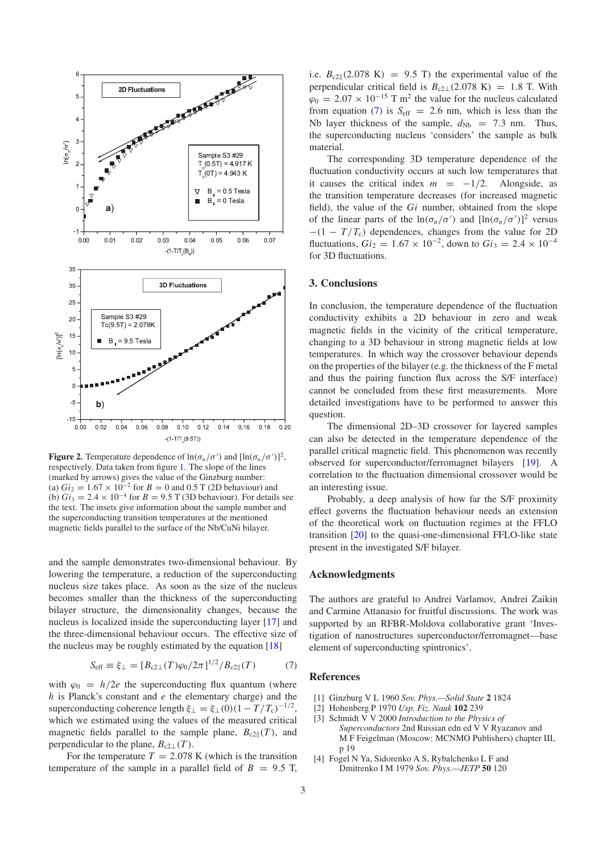<span id="page-2-4"></span>

**Figure 2.** Temperature dependence of  $\ln(\sigma_n/\sigma')$  and  $[\ln(\sigma_n/\sigma')]^2$ , respectively. Data taken from figure [1.](#page-1-0) The slope of the lines (marked by arrows) gives the value of the Ginzburg number: (a)  $Gi_2 = 1.67 \times 10^{-2}$  for  $B = 0$  and 0.5 T (2D behaviour) and (b)  $Gi_3 = 2.4 \times 10^{-4}$  for  $B = 9.5$  T (3D behaviour). For details see the text. The insets give information about the sample number and the superconducting transition temperatures at the mentioned magnetic fields parallel to the surface of the Nb/CuNi bilayer.

<span id="page-2-5"></span>and the sample demonstrates two-dimensional behaviour. By lowering the temperature, a reduction of the superconducting nucleus size takes place. As soon as the size of the nucleus becomes smaller than the thickness of the superconducting bilayer structure, the dimensionality changes, because the nucleus is localized inside the superconducting layer [\[17\]](#page-3-9) and the three-dimensional behaviour occurs. The effective size of the nucleus may be roughly estimated by the equation [\[18\]](#page-3-10)

$$
S_{\text{eff}} \equiv \xi_{\perp} = [B_{\text{c2}\perp}(T)\varphi_0/2\pi]^{1/2}/B_{\text{c2}\parallel}(T) \tag{7}
$$

with  $\varphi_0 = h/2e$  the superconducting flux quantum (where *h* is Planck's constant and *e* the elementary charge) and the superconducting coherence length  $\xi_{\perp} = \xi_{\perp}(0)(1 - T/T_c)^{-1/2}$ , which we estimated using the values of the measured critical magnetic fields parallel to the sample plane,  $B_{c2}$ <sub>(*T*)</sub>, and perpendicular to the plane,  $B_{c2\perp}(T)$ .

For the temperature  $T = 2.078$  K (which is the transition temperature of the sample in a parallel field of  $B = 9.5$  T, i.e.  $B_{c2\parallel}(2.078 \text{ K}) = 9.5 \text{ T}$  the experimental value of the perpendicular critical field is  $B_{c2\perp}(2.078 \text{ K}) = 1.8 \text{ T}$ . With  $\varphi_0 = 2.07 \times 10^{-15}$  T m<sup>2</sup> the value for the nucleus calculated from equation [\(7\)](#page-2-5) is  $S_{\text{eff}} = 2.6$  nm, which is less than the Nb layer thickness of the sample,  $d_{Nb}$  = 7.3 nm. Thus, the superconducting nucleus 'considers' the sample as bulk material.

The corresponding 3D temperature dependence of the fluctuation conductivity occurs at such low temperatures that it causes the critical index  $m = -1/2$ . Alongside, as the transition temperature decreases (for increased magnetic field), the value of the *Gi* number, obtained from the slope of the linear parts of the  $ln(\sigma_n/\sigma')$  and  $[ln(\sigma_n/\sigma')]^2$  versus  $-(1 - T/T_c)$  dependences, changes from the value for 2D fluctuations,  $Gi_2 = 1.67 \times 10^{-2}$ , down to  $Gi_3 = 2.4 \times 10^{-4}$ for 3D fluctuations.

## **3. Conclusions**

In conclusion, the temperature dependence of the fluctuation conductivity exhibits a 2D behaviour in zero and weak magnetic fields in the vicinity of the critical temperature, changing to a 3D behaviour in strong magnetic fields at low temperatures. In which way the crossover behaviour depends on the properties of the bilayer (e.g. the thickness of the F metal and thus the pairing function flux across the S/F interface) cannot be concluded from these first measurements. More detailed investigations have to be performed to answer this question.

The dimensional 2D–3D crossover for layered samples can also be detected in the temperature dependence of the parallel critical magnetic field. This phenomenon was recently observed for superconductor/ferromagnet bilayers [\[19\]](#page-3-11). A correlation to the fluctuation dimensional crossover would be an interesting issue.

Probably, a deep analysis of how far the S/F proximity effect governs the fluctuation behaviour needs an extension of the theoretical work on fluctuation regimes at the FFLO transition [\[20\]](#page-3-12) to the quasi-one-dimensional FFLO-like state present in the investigated S/F bilayer.

### **Acknowledgments**

<span id="page-2-1"></span><span id="page-2-0"></span>The authors are grateful to Andrei Varlamov, Andrei Zaikin and Carmine Attanasio for fruitful discussions. The work was supported by an RFBR-Moldova collaborative grant 'Investigation of nanostructures superconductor/ferromagnet—base element of superconducting spintronics'.

## <span id="page-2-3"></span><span id="page-2-2"></span>**References**

- [1] Ginzburg V L 1960 *Sov. Phys.—Solid State* **2** 1824
- [2] Hohenberg P 1970 *Usp. Fiz. Nauk* **102** 239
- [3] Schmidt V V 2000 *Introduction to the Physics of Superconductors* 2nd Russian edn ed V V Ryazanov and M F Feigelman (Moscow: MCNMO Publishers) chapter III, p 19
- [4] Fogel N Ya, Sidorenko A S, Rybalchenko L F and Dmitrenko I M 1979 *Sov. Phys.—JETP* **50** 120